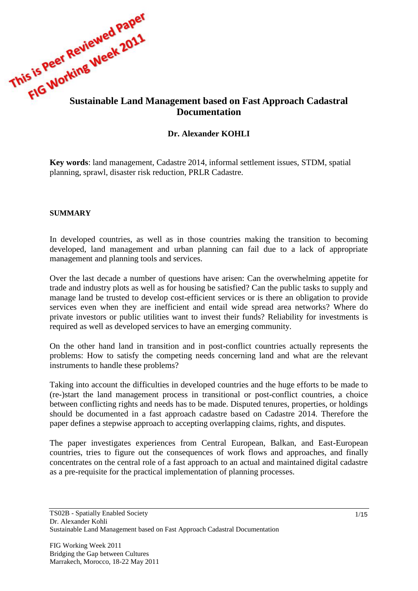

# **Dr. Alexander KOHLI**

**Key words**: land management, Cadastre 2014, informal settlement issues, STDM, spatial planning, sprawl, disaster risk reduction, PRLR Cadastre.

#### **SUMMARY**

In developed countries, as well as in those countries making the transition to becoming developed, land management and urban planning can fail due to a lack of appropriate management and planning tools and services.

Over the last decade a number of questions have arisen: Can the overwhelming appetite for trade and industry plots as well as for housing be satisfied? Can the public tasks to supply and manage land be trusted to develop cost-efficient services or is there an obligation to provide services even when they are inefficient and entail wide spread area networks? Where do private investors or public utilities want to invest their funds? Reliability for investments is required as well as developed services to have an emerging community.

On the other hand land in transition and in post-conflict countries actually represents the problems: How to satisfy the competing needs concerning land and what are the relevant instruments to handle these problems?

Taking into account the difficulties in developed countries and the huge efforts to be made to (re-)start the land management process in transitional or post-conflict countries, a choice between conflicting rights and needs has to be made. Disputed tenures, properties, or holdings should be documented in a fast approach cadastre based on Cadastre 2014. Therefore the paper defines a stepwise approach to accepting overlapping claims, rights, and disputes.

The paper investigates experiences from Central European, Balkan, and East-European countries, tries to figure out the consequences of work flows and approaches, and finally concentrates on the central role of a fast approach to an actual and maintained digital cadastre as a pre-requisite for the practical implementation of planning processes.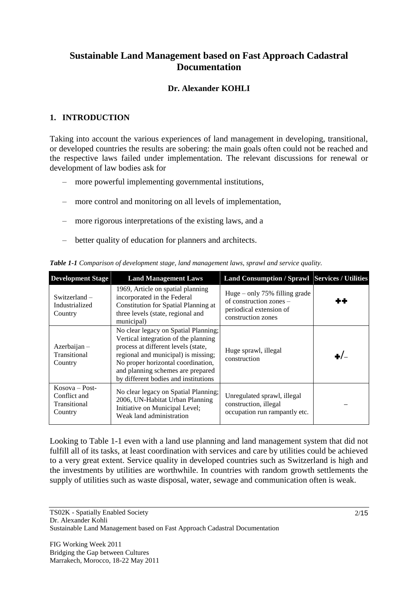# **Sustainable Land Management based on Fast Approach Cadastral Documentation**

### **Dr. Alexander KOHLI**

### **1. INTRODUCTION**

Taking into account the various experiences of land management in developing, transitional, or developed countries the results are sobering: the main goals often could not be reached and the respective laws failed under implementation. The relevant discussions for renewal or development of law bodies ask for

- more powerful implementing governmental institutions,
- more control and monitoring on all levels of implementation,
- more rigorous interpretations of the existing laws, and a
- better quality of education for planners and architects.

| <b>Development Stage</b>                                    | <b>Land Management Laws</b>                                                                                                                                                                                                                                                   | <b>Land Consumption / Sprawl   Services / Utilities</b>                                                     |  |
|-------------------------------------------------------------|-------------------------------------------------------------------------------------------------------------------------------------------------------------------------------------------------------------------------------------------------------------------------------|-------------------------------------------------------------------------------------------------------------|--|
| Switzerland $-$<br>Industrialized<br>Country                | 1969, Article on spatial planning<br>incorporated in the Federal<br><b>Constitution for Spatial Planning at</b><br>three levels (state, regional and<br>municipal)                                                                                                            | Huge $-$ only 75% filling grade<br>of construction zones –<br>periodical extension of<br>construction zones |  |
| $Azerbaijan -$<br>Transitional<br>Country                   | No clear legacy on Spatial Planning;<br>Vertical integration of the planning<br>process at different levels (state,<br>regional and municipal) is missing;<br>No proper horizontal coordination,<br>and planning schemes are prepared<br>by different bodies and institutions | Huge sprawl, illegal<br>construction                                                                        |  |
| $Kosova - Post-$<br>Conflict and<br>Transitional<br>Country | No clear legacy on Spatial Planning;<br>2006, UN-Habitat Urban Planning<br>Initiative on Municipal Level;<br>Weak land administration                                                                                                                                         | Unregulated sprawl, illegal<br>construction, illegal<br>occupation run rampantly etc.                       |  |

*Table 1-1 Comparison of development stage, land management laws, sprawl and service quality.*

Looking to Table 1-1 even with a land use planning and land management system that did not fulfill all of its tasks, at least coordination with services and care by utilities could be achieved to a very great extent. Service quality in developed countries such as Switzerland is high and the investments by utilities are worthwhile. In countries with random growth settlements the supply of utilities such as waste disposal, water, sewage and communication often is weak.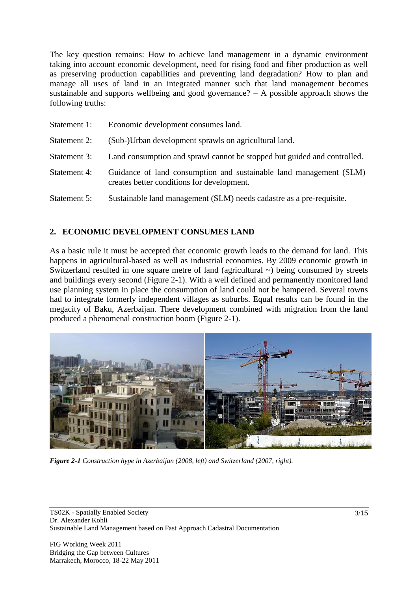The key question remains: How to achieve land management in a dynamic environment taking into account economic development, need for rising food and fiber production as well as preserving production capabilities and preventing land degradation? How to plan and manage all uses of land in an integrated manner such that land management becomes sustainable and supports wellbeing and good governance?  $- A$  possible approach shows the following truths:

| Statement 1: | Economic development consumes land.                                                                              |  |  |
|--------------|------------------------------------------------------------------------------------------------------------------|--|--|
| Statement 2: | (Sub-)Urban development sprawls on agricultural land.                                                            |  |  |
| Statement 3: | Land consumption and sprawl cannot be stopped but guided and controlled.                                         |  |  |
| Statement 4: | Guidance of land consumption and sustainable land management (SLM)<br>creates better conditions for development. |  |  |
| Statement 5: | Sustainable land management (SLM) needs cadastre as a pre-requisite.                                             |  |  |

#### **2. ECONOMIC DEVELOPMENT CONSUMES LAND**

As a basic rule it must be accepted that economic growth leads to the demand for land. This happens in agricultural-based as well as industrial economies. By 2009 economic growth in Switzerland resulted in one square metre of land (agricultural  $\sim$ ) being consumed by streets and buildings every second (Figure 2-1). With a well defined and permanently monitored land use planning system in place the consumption of land could not be hampered. Several towns had to integrate formerly independent villages as suburbs. Equal results can be found in the megacity of Baku, Azerbaijan. There development combined with migration from the land produced a phenomenal construction boom (Figure 2-1).



*Figure 2-1 Construction hype in Azerbaijan (2008, left) and Switzerland (2007, right).*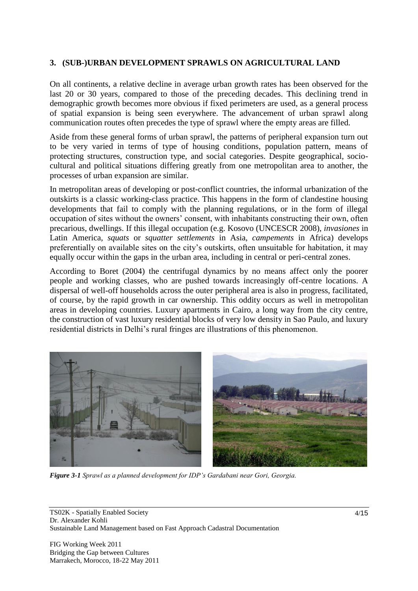### **3. (SUB-)URBAN DEVELOPMENT SPRAWLS ON AGRICULTURAL LAND**

On all continents, a relative decline in average urban growth rates has been observed for the last 20 or 30 years, compared to those of the preceding decades. This declining trend in demographic growth becomes more obvious if fixed perimeters are used, as a general process of spatial expansion is being seen everywhere. The advancement of urban sprawl along communication routes often precedes the type of sprawl where the empty areas are filled.

Aside from these general forms of urban sprawl, the patterns of peripheral expansion turn out to be very varied in terms of type of housing conditions, population pattern, means of protecting structures, construction type, and social categories. Despite geographical, sociocultural and political situations differing greatly from one metropolitan area to another, the processes of urban expansion are similar.

In metropolitan areas of developing or post-conflict countries, the informal urbanization of the outskirts is a classic working-class practice. This happens in the form of clandestine housing developments that fail to comply with the planning regulations, or in the form of illegal occupation of sites without the owners" consent, with inhabitants constructing their own, often precarious, dwellings. If this illegal occupation (e.g. Kosovo (UNCESCR 2008), *invasiones* in Latin America, *squats* or *squatter settlements* in Asia, *campements* in Africa) develops preferentially on available sites on the city"s outskirts, often unsuitable for habitation, it may equally occur within the gaps in the urban area, including in central or peri-central zones.

According to Boret (2004) the centrifugal dynamics by no means affect only the poorer people and working classes, who are pushed towards increasingly off-centre locations. A dispersal of well-off households across the outer peripheral area is also in progress, facilitated, of course, by the rapid growth in car ownership. This oddity occurs as well in metropolitan areas in developing countries. Luxury apartments in Cairo, a long way from the city centre, the construction of vast luxury residential blocks of very low density in Sao Paulo, and luxury residential districts in Delhi"s rural fringes are illustrations of this phenomenon.



*Figure 3-1 Sprawl as a planned development for IDP's Gardabani near Gori, Georgia.*

TS02K - Spatially Enabled Society Dr. Alexander Kohli Sustainable Land Management based on Fast Approach Cadastral Documentation

FIG Working Week 2011 Bridging the Gap between Cultures Marrakech, Morocco, 18-22 May 2011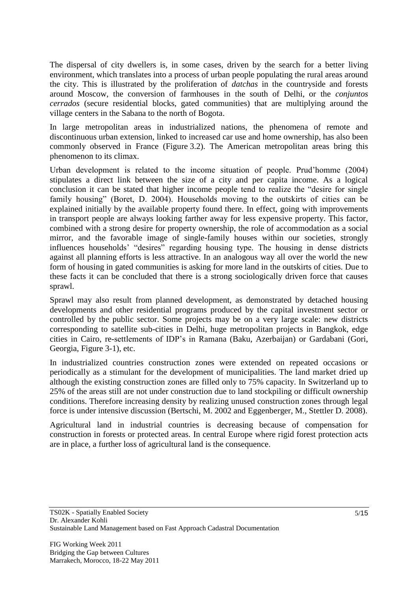The dispersal of city dwellers is, in some cases, driven by the search for a better living environment, which translates into a process of urban people populating the rural areas around the city. This is illustrated by the proliferation of *datchas* in the countryside and forests around Moscow, the conversion of farmhouses in the south of Delhi, or the *conjuntos cerrados* (secure residential blocks, gated communities) that are multiplying around the village centers in the Sabana to the north of Bogota.

In large metropolitan areas in industrialized nations, the phenomena of remote and discontinuous urban extension, linked to increased car use and home ownership, has also been commonly observed in France (Figure 3.2). The American metropolitan areas bring this phenomenon to its climax.

Urban development is related to the income situation of people. Prud"homme (2004) stipulates a direct link between the size of a city and per capita income. As a logical conclusion it can be stated that higher income people tend to realize the "desire for single family housing" (Boret, D. 2004). Households moving to the outskirts of cities can be explained initially by the available property found there. In effect, going with improvements in transport people are always looking farther away for less expensive property. This factor, combined with a strong desire for property ownership, the role of accommodation as a social mirror, and the favorable image of single-family houses within our societies, strongly influences households" "desires" regarding housing type. The housing in dense districts against all planning efforts is less attractive. In an analogous way all over the world the new form of housing in gated communities is asking for more land in the outskirts of cities. Due to these facts it can be concluded that there is a strong sociologically driven force that causes sprawl.

Sprawl may also result from planned development, as demonstrated by detached housing developments and other residential programs produced by the capital investment sector or controlled by the public sector. Some projects may be on a very large scale: new districts corresponding to satellite sub-cities in Delhi, huge metropolitan projects in Bangkok, edge cities in Cairo, re-settlements of IDP"s in Ramana (Baku, Azerbaijan) or Gardabani (Gori, Georgia, Figure 3-1), etc.

In industrialized countries construction zones were extended on repeated occasions or periodically as a stimulant for the development of municipalities. The land market dried up although the existing construction zones are filled only to 75% capacity. In Switzerland up to 25% of the areas still are not under construction due to land stockpiling or difficult ownership conditions. Therefore increasing density by realizing unused construction zones through legal force is under intensive discussion (Bertschi, M. 2002 and Eggenberger, M., Stettler D. 2008).

Agricultural land in industrial countries is decreasing because of compensation for construction in forests or protected areas. In central Europe where rigid forest protection acts are in place, a further loss of agricultural land is the consequence.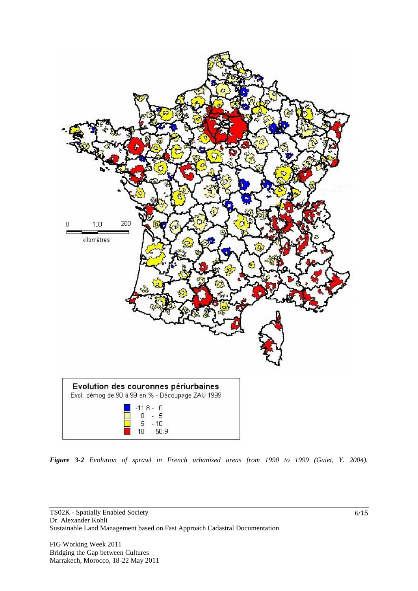

*Figure 3-2 Evolution of sprawl in French urbanized areas from 1990 to 1999 (Guiet, Y. 2004).*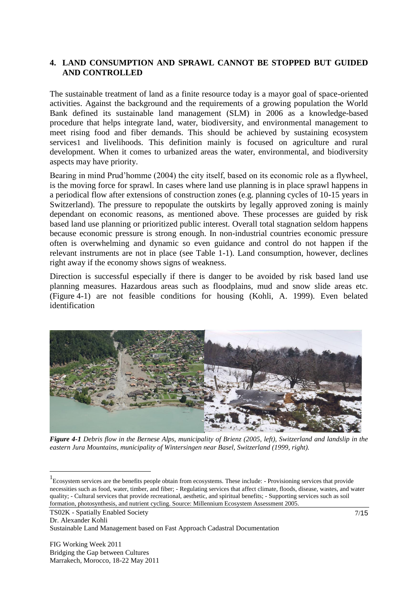#### **4. LAND CONSUMPTION AND SPRAWL CANNOT BE STOPPED BUT GUIDED AND CONTROLLED**

The sustainable treatment of land as a finite resource today is a mayor goal of space-oriented activities. Against the background and the requirements of a growing population the World Bank defined its sustainable land management (SLM) in 2006 as a knowledge-based procedure that helps integrate land, water, biodiversity, and environmental management to meet rising food and fiber demands. This should be achieved by sustaining ecosystem services1 and livelihoods. This definition mainly is focused on agriculture and rural development. When it comes to urbanized areas the water, environmental, and biodiversity aspects may have priority.

Bearing in mind Prud"homme (2004) the city itself, based on its economic role as a flywheel, is the moving force for sprawl. In cases where land use planning is in place sprawl happens in a periodical flow after extensions of construction zones (e.g. planning cycles of 10-15 years in Switzerland). The pressure to repopulate the outskirts by legally approved zoning is mainly dependant on economic reasons, as mentioned above. These processes are guided by risk based land use planning or prioritized public interest. Overall total stagnation seldom happens because economic pressure is strong enough. In non-industrial countries economic pressure often is overwhelming and dynamic so even guidance and control do not happen if the relevant instruments are not in place (see Table 1-1). Land consumption, however, declines right away if the economy shows signs of weakness.

Direction is successful especially if there is danger to be avoided by risk based land use planning measures. Hazardous areas such as floodplains, mud and snow slide areas etc. (Figure 4-1) are not feasible conditions for housing (Kohli, A. 1999). Even belated identification



*Figure 4-1 Debris flow in the Bernese Alps, municipality of Brienz (2005, left), Switzerland and landslip in the eastern Jura Mountains, municipality of Wintersingen near Basel, Switzerland (1999, right).*

TS02K - Spatially Enabled Society

Dr. Alexander Kohli

 $\overline{a}$ 

Sustainable Land Management based on Fast Approach Cadastral Documentation

<sup>&</sup>lt;sup>1</sup> Ecosystem services are the benefits people obtain from ecosystems. These include: - Provisioning services that provide necessities such as food, water, timber, and fiber; - Regulating services that affect climate, floods, disease, wastes, and water quality; - Cultural services that provide recreational, aesthetic, and spiritual benefits; - Supporting services such as soil formation, photosynthesis, and nutrient cycling. Source: Millennium Ecosystem Assessment 2005.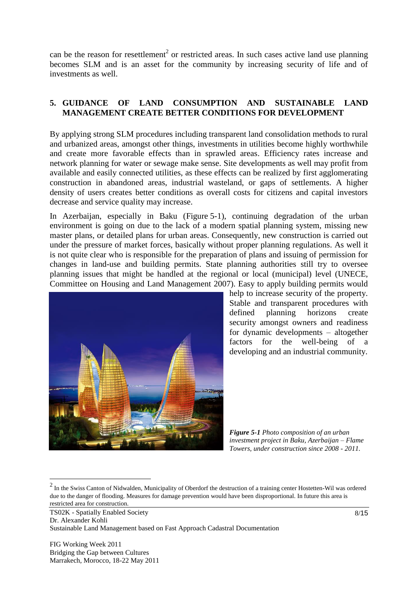can be the reason for resettlement<sup>2</sup> or restricted areas. In such cases active land use planning becomes SLM and is an asset for the community by increasing security of life and of investments as well.

#### **5. GUIDANCE OF LAND CONSUMPTION AND SUSTAINABLE LAND MANAGEMENT CREATE BETTER CONDITIONS FOR DEVELOPMENT**

By applying strong SLM procedures including transparent land consolidation methods to rural and urbanized areas, amongst other things, investments in utilities become highly worthwhile and create more favorable effects than in sprawled areas. Efficiency rates increase and network planning for water or sewage make sense. Site developments as well may profit from available and easily connected utilities, as these effects can be realized by first agglomerating construction in abandoned areas, industrial wasteland, or gaps of settlements. A higher density of users creates better conditions as overall costs for citizens and capital investors decrease and service quality may increase.

In Azerbaijan, especially in Baku (Figure 5-1), continuing degradation of the urban environment is going on due to the lack of a modern spatial planning system, missing new master plans, or detailed plans for urban areas. Consequently, new construction is carried out under the pressure of market forces, basically without proper planning regulations. As well it is not quite clear who is responsible for the preparation of plans and issuing of permission for changes in land-use and building permits. State planning authorities still try to oversee planning issues that might be handled at the regional or local (municipal) level (UNECE, Committee on Housing and Land Management 2007). Easy to apply building permits would



help to increase security of the property. Stable and transparent procedures with defined planning horizons create security amongst owners and readiness for dynamic developments – altogether factors for the well-being of a developing and an industrial community.

*Figure 5-1 Photo composition of an urban investment project in Baku, Azerbaijan – Flame Towers, under construction since 2008 - 2011.*

TS02K - Spatially Enabled Society Dr. Alexander Kohli Sustainable Land Management based on Fast Approach Cadastral Documentation

 $2 \text{ In the Swiss Canton of Nidwalden, Municipality of Oberdorf the destruction of a training center Hostetten-Wil was ordered}$ due to the danger of flooding. Measures for damage prevention would have been disproportional. In future this area is restricted area for construction.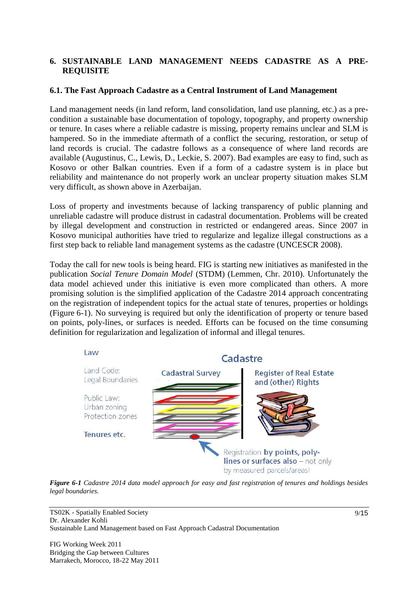### **6. SUSTAINABLE LAND MANAGEMENT NEEDS CADASTRE AS A PRE-REQUISITE**

#### **6.1. The Fast Approach Cadastre as a Central Instrument of Land Management**

Land management needs (in land reform, land consolidation, land use planning, etc.) as a precondition a sustainable base documentation of topology, topography, and property ownership or tenure. In cases where a reliable cadastre is missing, property remains unclear and SLM is hampered. So in the immediate aftermath of a conflict the securing, restoration, or setup of land records is crucial. The cadastre follows as a consequence of where land records are available (Augustinus, C., Lewis, D., Leckie, S. 2007). Bad examples are easy to find, such as Kosovo or other Balkan countries. Even if a form of a cadastre system is in place but reliability and maintenance do not properly work an unclear property situation makes SLM very difficult, as shown above in Azerbaijan.

Loss of property and investments because of lacking transparency of public planning and unreliable cadastre will produce distrust in cadastral documentation. Problems will be created by illegal development and construction in restricted or endangered areas. Since 2007 in Kosovo municipal authorities have tried to regularize and legalize illegal constructions as a first step back to reliable land management systems as the cadastre (UNCESCR 2008).

Today the call for new tools is being heard. FIG is starting new initiatives as manifested in the publication *Social Tenure Domain Model* (STDM) (Lemmen, Chr. 2010). Unfortunately the data model achieved under this initiative is even more complicated than others. A more promising solution is the simplified application of the Cadastre 2014 approach concentrating on the registration of independent topics for the actual state of tenures, properties or holdings (Figure 6-1). No surveying is required but only the identification of property or tenure based on points, poly-lines, or surfaces is needed. Efforts can be focused on the time consuming definition for regularization and legalization of informal and illegal tenures.



*Figure 6-1 Cadastre 2014 data model approach for easy and fast registration of tenures and holdings besides legal boundaries.*

TS02K - Spatially Enabled Society Dr. Alexander Kohli Sustainable Land Management based on Fast Approach Cadastral Documentation

FIG Working Week 2011 Bridging the Gap between Cultures Marrakech, Morocco, 18-22 May 2011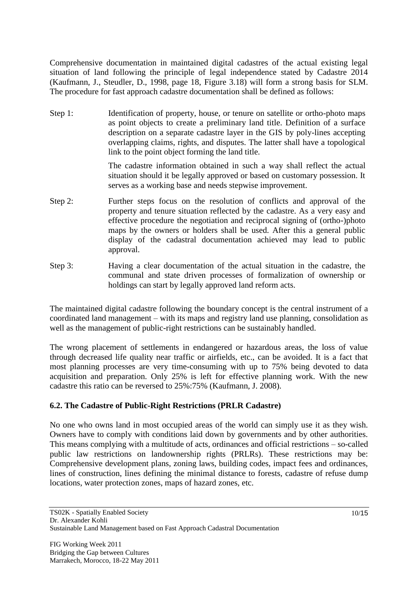Comprehensive documentation in maintained digital cadastres of the actual existing legal situation of land following the principle of legal independence stated by Cadastre 2014 (Kaufmann, J., Steudler, D., 1998, page 18, Figure 3.18) will form a strong basis for SLM. The procedure for fast approach cadastre documentation shall be defined as follows:

Step 1: Identification of property, house, or tenure on satellite or ortho-photo maps as point objects to create a preliminary land title. Definition of a surface description on a separate cadastre layer in the GIS by poly-lines accepting overlapping claims, rights, and disputes. The latter shall have a topological link to the point object forming the land title.

> The cadastre information obtained in such a way shall reflect the actual situation should it be legally approved or based on customary possession. It serves as a working base and needs stepwise improvement.

- Step 2: Further steps focus on the resolution of conflicts and approval of the property and tenure situation reflected by the cadastre. As a very easy and effective procedure the negotiation and reciprocal signing of (ortho-)photo maps by the owners or holders shall be used. After this a general public display of the cadastral documentation achieved may lead to public approval.
- Step 3: Having a clear documentation of the actual situation in the cadastre, the communal and state driven processes of formalization of ownership or holdings can start by legally approved land reform acts.

The maintained digital cadastre following the boundary concept is the central instrument of a coordinated land management – with its maps and registry land use planning, consolidation as well as the management of public-right restrictions can be sustainably handled.

The wrong placement of settlements in endangered or hazardous areas, the loss of value through decreased life quality near traffic or airfields, etc., can be avoided. It is a fact that most planning processes are very time-consuming with up to 75% being devoted to data acquisition and preparation. Only 25% is left for effective planning work. With the new cadastre this ratio can be reversed to 25%:75% (Kaufmann, J. 2008).

# **6.2. The Cadastre of Public-Right Restrictions (PRLR Cadastre)**

No one who owns land in most occupied areas of the world can simply use it as they wish. Owners have to comply with conditions laid down by governments and by other authorities. This means complying with a multitude of acts, ordinances and official restrictions – so-called public law restrictions on landownership rights (PRLRs). These restrictions may be: Comprehensive development plans, zoning laws, building codes, impact fees and ordinances, lines of construction, lines defining the minimal distance to forests, cadastre of refuse dump locations, water protection zones, maps of hazard zones, etc.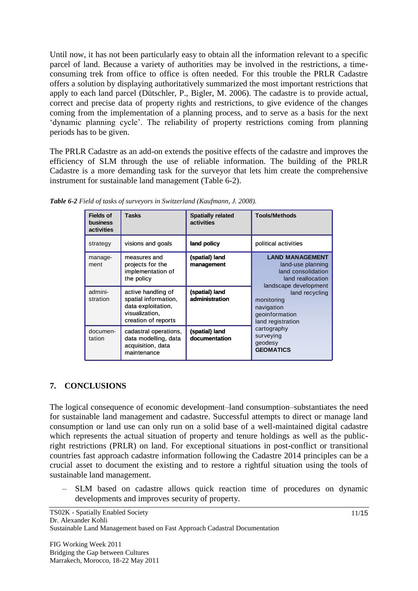Until now, it has not been particularly easy to obtain all the information relevant to a specific parcel of land. Because a variety of authorities may be involved in the restrictions, a timeconsuming trek from office to office is often needed. For this trouble the PRLR Cadastre offers a solution by displaying authoritatively summarized the most important restrictions that apply to each land parcel (Dütschler, P., Bigler, M. 2006). The cadastre is to provide actual, correct and precise data of property rights and restrictions, to give evidence of the changes coming from the implementation of a planning process, and to serve as a basis for the next "dynamic planning cycle". The reliability of property restrictions coming from planning periods has to be given.

The PRLR Cadastre as an add-on extends the positive effects of the cadastre and improves the efficiency of SLM through the use of reliable information. The building of the PRLR Cadastre is a more demanding task for the surveyor that lets him create the comprehensive instrument for sustainable land management (Table 6-2).

| <b>Fields of</b><br>business<br>activities | <b>Tasks</b>                                                                                              | <b>Spatially related</b><br>activities | <b>Tools/Methods</b>                                                                                                                                                                                                                                            |
|--------------------------------------------|-----------------------------------------------------------------------------------------------------------|----------------------------------------|-----------------------------------------------------------------------------------------------------------------------------------------------------------------------------------------------------------------------------------------------------------------|
| strategy                                   | visions and goals                                                                                         | land policy                            | political activities                                                                                                                                                                                                                                            |
| manage-<br>ment                            | measures and<br>projects for the<br>implementation of<br>the policy                                       | (spatial) land<br>management           | <b>LAND MANAGEMENT</b><br>land-use planning<br>land consolidation<br>land reallocation<br>landscape development<br>land recycling<br>monitoring<br>navigation<br>geoinformation<br>land registration<br>cartography<br>surveying<br>geodesy<br><b>GEOMATICS</b> |
| admini-<br>stration                        | active handling of<br>spatial information,<br>data exploitation,<br>visualization,<br>creation of reports | (spatial) land<br>administration       |                                                                                                                                                                                                                                                                 |
| documen-<br>tation                         | cadastral operations,<br>data modelling, data<br>acquisition, data<br>maintenance                         | (spatial) land<br>documentation        |                                                                                                                                                                                                                                                                 |

*Table 6-2 Field of tasks of surveyors in Switzerland (Kaufmann, J. 2008).*

# **7. CONCLUSIONS**

The logical consequence of economic development–land consumption–substantiates the need for sustainable land management and cadastre. Successful attempts to direct or manage land consumption or land use can only run on a solid base of a well-maintained digital cadastre which represents the actual situation of property and tenure holdings as well as the publicright restrictions (PRLR) on land. For exceptional situations in post-conflict or transitional countries fast approach cadastre information following the Cadastre 2014 principles can be a crucial asset to document the existing and to restore a rightful situation using the tools of sustainable land management.

– SLM based on cadastre allows quick reaction time of procedures on dynamic developments and improves security of property.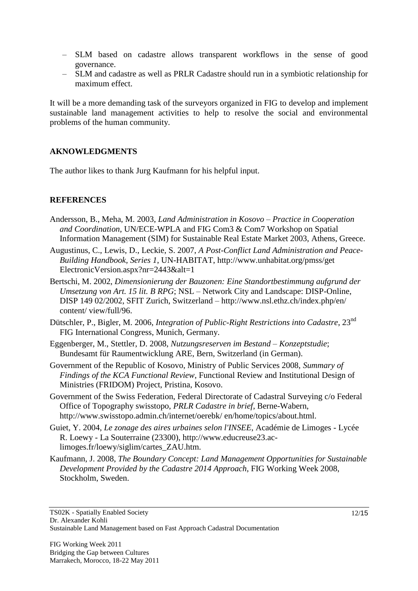- SLM based on cadastre allows transparent workflows in the sense of good governance.
- SLM and cadastre as well as PRLR Cadastre should run in a symbiotic relationship for maximum effect.

It will be a more demanding task of the surveyors organized in FIG to develop and implement sustainable land management activities to help to resolve the social and environmental problems of the human community.

### **AKNOWLEDGMENTS**

The author likes to thank Jurg Kaufmann for his helpful input.

### **REFERENCES**

- Andersson, B., Meha, M. 2003, *Land Administration in Kosovo – Practice in Cooperation and Coordination*, UN/ECE-WPLA and FIG Com3 & Com7 Workshop on Spatial Information Management (SIM) for Sustainable Real Estate Market 2003, Athens, Greece.
- Augustinus, C., Lewis, D., Leckie, S. 2007, *A Post-Conflict Land Administration and Peace-Building Handbook, Series 1*, UN-HABITAT, http://www.unhabitat.org/pmss/get ElectronicVersion.aspx?nr=2443&alt=1
- Bertschi, M. 2002, *Dimensionierung der Bauzonen: Eine Standortbestimmung aufgrund der Umsetzung von Art. 15 lit. B RPG*; NSL – Network City and Landscape: DISP-Online, DISP 149 02/2002, SFIT Zurich, Switzerland – http://www.nsl.ethz.ch/index.php/en/ content/ view/full/96.
- Dütschler, P., Bigler, M. 2006, *Integration of Public-Right Restrictions into Cadastre*, 23<sup>nd</sup> FIG International Congress, Munich, Germany.
- Eggenberger, M., Stettler, D. 2008, *Nutzungsreserven im Bestand – Konzeptstudie*; Bundesamt für Raumentwicklung ARE, Bern, Switzerland (in German).
- Government of the Republic of Kosovo, Ministry of Public Services 2008, *Summary of Findings of the KCA Functional Review*, Functional Review and Institutional Design of Ministries (FRIDOM) Project, Pristina, Kosovo.
- Government of the Swiss Federation, Federal Directorate of Cadastral Surveying c/o Federal Office of Topography swisstopo, *PRLR Cadastre in brief*, Berne-Wabern, http://www.swisstopo.admin.ch/internet/oerebk/ en/home/topics/about.html.
- Guiet, Y. 2004, *Le zonage des aires urbaines selon l'INSEE*, Académie de Limoges Lycée R. Loewy - La Souterraine (23300), http://www.educreuse23.aclimoges.fr/loewy/siglim/cartes\_ZAU.htm.
- Kaufmann, J. 2008, *The Boundary Concept: Land Management Opportunities for Sustainable Development Provided by the Cadastre 2014 Approach*, FIG Working Week 2008, Stockholm, Sweden.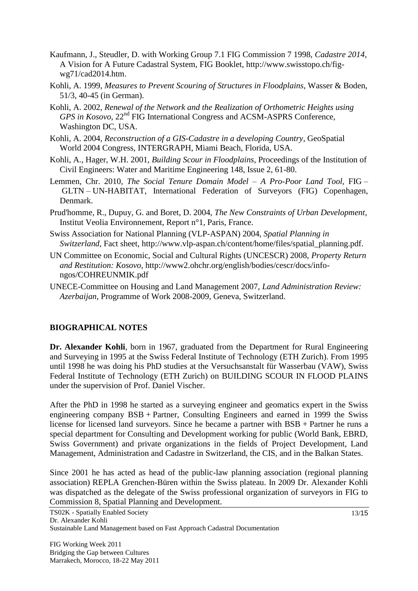- Kaufmann, J., Steudler, D. with Working Group 7.1 FIG Commission 7 1998, *Cadastre 2014*, A Vision for A Future Cadastral System, FIG Booklet, [http://www.swisstopo.ch/fig](http://www.swisstopo.ch/fig-wg71/cad2014.htm)[wg71/cad2014.htm.](http://www.swisstopo.ch/fig-wg71/cad2014.htm)
- Kohli, A. 1999, *Measures to Prevent Scouring of Structures in Floodplains*, Wasser & Boden, 51/3, 40-45 (in German).
- Kohli, A. 2002, *Renewal of the Network and the Realization of Orthometric Heights using GPS in Kosovo*, 22<sup>nd</sup> FIG International Congress and ACSM-ASPRS Conference, Washington DC, USA.
- Kohli, A. 2004, *Reconstruction of a GIS-Cadastre in a developing Country*, GeoSpatial World 2004 Congress, INTERGRAPH, Miami Beach, Florida, USA.
- Kohli, A., Hager, W.H. 2001, *Building Scour in Floodplains*, Proceedings of the Institution of Civil Engineers: Water and Maritime Engineering 148, Issue 2, 61-80.
- Lemmen, Chr. 2010, *The Social Tenure Domain Model – A Pro-Poor Land Tool,* FIG GLTN – UN-HABITAT, International Federation of Surveyors (FIG) Copenhagen, Denmark.
- Prud'homme, R., Dupuy, G. and Boret, D. 2004, *The New Constraints of Urban Development*, Institut Veolia Environnement, Report n°1, Paris, France.
- Swiss Association for National Planning (VLP-ASPAN) 2004, *Spatial Planning in Switzerland*, Fact sheet, http://www.vlp-aspan.ch/content/home/files/spatial\_planning.pdf.
- UN Committee on Economic, Social and Cultural Rights (UNCESCR) 2008, *Property Return and Restitution: Kosovo*, http://www2.ohchr.org/english/bodies/cescr/docs/infongos/COHREUNMIK.pdf
- UNECE-Committee on Housing and Land Management 2007, *Land Administration Review: Azerbaijan*, Programme of Work 2008-2009, Geneva, Switzerland.

#### **BIOGRAPHICAL NOTES**

**Dr. Alexander Kohli**, born in 1967, graduated from the Department for Rural Engineering and Surveying in 1995 at the Swiss Federal Institute of Technology (ETH Zurich). From 1995 until 1998 he was doing his PhD studies at the Versuchsanstalt für Wasserbau (VAW), Swiss Federal Institute of Technology (ETH Zurich) on BUILDING SCOUR IN FLOOD PLAINS under the supervision of Prof. Daniel Vischer.

After the PhD in 1998 he started as a surveying engineer and geomatics expert in the Swiss engineering company BSB + Partner, Consulting Engineers and earned in 1999 the Swiss license for licensed land surveyors. Since he became a partner with BSB + Partner he runs a special department for Consulting and Development working for public (World Bank, EBRD, Swiss Government) and private organizations in the fields of Project Development, Land Management, Administration and Cadastre in Switzerland, the CIS, and in the Balkan States.

Since 2001 he has acted as head of the public-law planning association (regional planning association) REPLA Grenchen-Büren within the Swiss plateau. In 2009 Dr. Alexander Kohli was dispatched as the delegate of the Swiss professional organization of surveyors in FIG to Commission 8, Spatial Planning and Development.